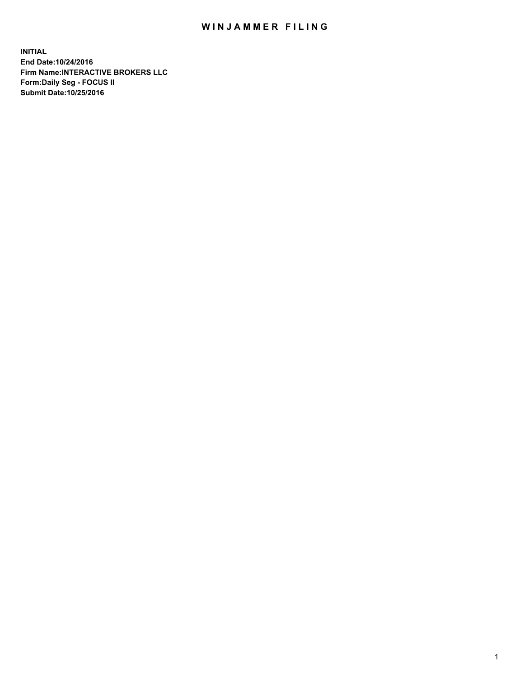## WIN JAMMER FILING

**INITIAL End Date:10/24/2016 Firm Name:INTERACTIVE BROKERS LLC Form:Daily Seg - FOCUS II Submit Date:10/25/2016**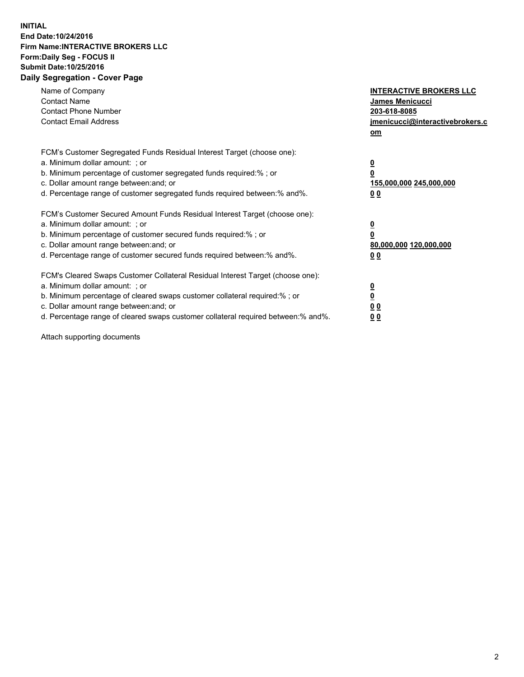## **INITIAL End Date:10/24/2016 Firm Name:INTERACTIVE BROKERS LLC Form:Daily Seg - FOCUS II Submit Date:10/25/2016 Daily Segregation - Cover Page**

| Name of Company<br><b>Contact Name</b><br><b>Contact Phone Number</b><br><b>Contact Email Address</b>                                                                                                                                                                                                                          | <b>INTERACTIVE BROKERS LLC</b><br><b>James Menicucci</b><br>203-618-8085<br>jmenicucci@interactivebrokers.c<br>om |
|--------------------------------------------------------------------------------------------------------------------------------------------------------------------------------------------------------------------------------------------------------------------------------------------------------------------------------|-------------------------------------------------------------------------------------------------------------------|
| FCM's Customer Segregated Funds Residual Interest Target (choose one):<br>a. Minimum dollar amount: ; or<br>b. Minimum percentage of customer segregated funds required:%; or<br>c. Dollar amount range between: and; or<br>d. Percentage range of customer segregated funds required between:% and%.                          | $\overline{\mathbf{0}}$<br>0<br>155,000,000 245,000,000<br>0 <sub>0</sub>                                         |
| FCM's Customer Secured Amount Funds Residual Interest Target (choose one):<br>a. Minimum dollar amount: ; or<br>b. Minimum percentage of customer secured funds required:%; or<br>c. Dollar amount range between: and; or<br>d. Percentage range of customer secured funds required between: % and %.                          | $\overline{\mathbf{0}}$<br>0<br>80,000,000 120,000,000<br>0 <sub>0</sub>                                          |
| FCM's Cleared Swaps Customer Collateral Residual Interest Target (choose one):<br>a. Minimum dollar amount: ; or<br>b. Minimum percentage of cleared swaps customer collateral required:% ; or<br>c. Dollar amount range between: and; or<br>d. Percentage range of cleared swaps customer collateral required between:% and%. | $\overline{\mathbf{0}}$<br>$\overline{\mathbf{0}}$<br>0 <sub>0</sub><br><u>00</u>                                 |

Attach supporting documents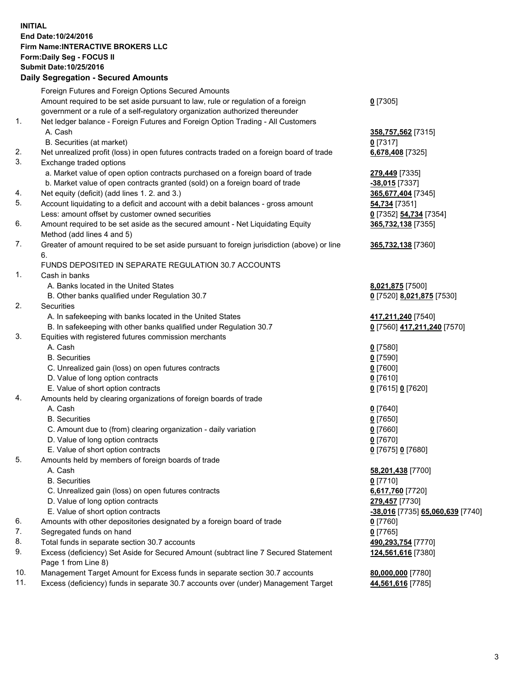## **INITIAL End Date:10/24/2016 Firm Name:INTERACTIVE BROKERS LLC Form:Daily Seg - FOCUS II Submit Date:10/25/2016 Daily Segregation - Secured Amounts**

|     | Daily Jegregation - Jeculed Aniounts                                                                       |                                  |
|-----|------------------------------------------------------------------------------------------------------------|----------------------------------|
|     | Foreign Futures and Foreign Options Secured Amounts                                                        |                                  |
|     | Amount required to be set aside pursuant to law, rule or regulation of a foreign                           | $0$ [7305]                       |
|     | government or a rule of a self-regulatory organization authorized thereunder                               |                                  |
| 1.  | Net ledger balance - Foreign Futures and Foreign Option Trading - All Customers                            |                                  |
|     | A. Cash                                                                                                    | 358,757,562 [7315]               |
|     | B. Securities (at market)                                                                                  | $0$ [7317]                       |
| 2.  | Net unrealized profit (loss) in open futures contracts traded on a foreign board of trade                  | 6,678,408 [7325]                 |
| 3.  | Exchange traded options                                                                                    |                                  |
|     | a. Market value of open option contracts purchased on a foreign board of trade                             | 279,449 [7335]                   |
|     | b. Market value of open contracts granted (sold) on a foreign board of trade                               | $-38,015$ [7337]                 |
| 4.  | Net equity (deficit) (add lines 1. 2. and 3.)                                                              | 365,677,404 [7345]               |
| 5.  | Account liquidating to a deficit and account with a debit balances - gross amount                          | 54,734 [7351]                    |
|     | Less: amount offset by customer owned securities                                                           | 0 [7352] 54,734 [7354]           |
| 6.  | Amount required to be set aside as the secured amount - Net Liquidating Equity                             | 365,732,138 [7355]               |
|     | Method (add lines 4 and 5)                                                                                 |                                  |
| 7.  | Greater of amount required to be set aside pursuant to foreign jurisdiction (above) or line                | 365,732,138 [7360]               |
|     | 6.                                                                                                         |                                  |
|     | FUNDS DEPOSITED IN SEPARATE REGULATION 30.7 ACCOUNTS                                                       |                                  |
| 1.  | Cash in banks                                                                                              |                                  |
|     | A. Banks located in the United States                                                                      | 8,021,875 [7500]                 |
|     | B. Other banks qualified under Regulation 30.7                                                             | 0 [7520] 8,021,875 [7530]        |
| 2.  | Securities                                                                                                 |                                  |
|     | A. In safekeeping with banks located in the United States                                                  | 417,211,240 [7540]               |
|     | B. In safekeeping with other banks qualified under Regulation 30.7                                         | 0 [7560] 417,211,240 [7570]      |
| 3.  | Equities with registered futures commission merchants                                                      |                                  |
|     | A. Cash                                                                                                    | $0$ [7580]                       |
|     | <b>B.</b> Securities                                                                                       | $0$ [7590]                       |
|     | C. Unrealized gain (loss) on open futures contracts                                                        | $0$ [7600]                       |
|     | D. Value of long option contracts                                                                          | $0$ [7610]                       |
|     | E. Value of short option contracts                                                                         | 0 [7615] 0 [7620]                |
| 4.  | Amounts held by clearing organizations of foreign boards of trade                                          |                                  |
|     | A. Cash                                                                                                    | $0$ [7640]                       |
|     | <b>B.</b> Securities                                                                                       | $0$ [7650]                       |
|     | C. Amount due to (from) clearing organization - daily variation                                            | $0$ [7660]                       |
|     | D. Value of long option contracts                                                                          | $0$ [7670]                       |
|     | E. Value of short option contracts                                                                         | 0 [7675] 0 [7680]                |
| 5.  | Amounts held by members of foreign boards of trade                                                         |                                  |
|     | A. Cash                                                                                                    | 58,201,438 [7700]                |
|     | <b>B.</b> Securities                                                                                       | $0$ [7710]                       |
|     | C. Unrealized gain (loss) on open futures contracts                                                        | 6,617,760 [7720]                 |
|     | D. Value of long option contracts                                                                          | 279,457 [7730]                   |
|     | E. Value of short option contracts                                                                         | -38,016 [7735] 65,060,639 [7740] |
| 6.  | Amounts with other depositories designated by a foreign board of trade                                     | $0$ [7760]                       |
| 7.  | Segregated funds on hand                                                                                   | $0$ [7765]                       |
| 8.  | Total funds in separate section 30.7 accounts                                                              | 490,293,754 [7770]               |
| 9.  | Excess (deficiency) Set Aside for Secured Amount (subtract line 7 Secured Statement<br>Page 1 from Line 8) | 124,561,616 [7380]               |
| 10. | Management Target Amount for Excess funds in separate section 30.7 accounts                                | 80,000,000 [7780]                |
| 11. | Excess (deficiency) funds in separate 30.7 accounts over (under) Management Target                         | 44,561,616 [7785]                |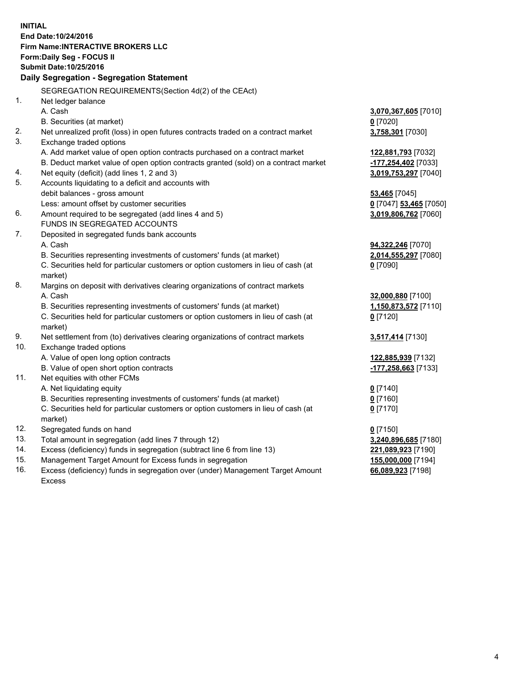**INITIAL End Date:10/24/2016 Firm Name:INTERACTIVE BROKERS LLC Form:Daily Seg - FOCUS II Submit Date:10/25/2016 Daily Segregation - Segregation Statement** SEGREGATION REQUIREMENTS(Section 4d(2) of the CEAct) 1. Net ledger balance A. Cash **3,070,367,605** [7010] B. Securities (at market) **0** [7020] 2. Net unrealized profit (loss) in open futures contracts traded on a contract market **3,758,301** [7030] 3. Exchange traded options A. Add market value of open option contracts purchased on a contract market **122,881,793** [7032] B. Deduct market value of open option contracts granted (sold) on a contract market **-177,254,402** [7033] 4. Net equity (deficit) (add lines 1, 2 and 3) **3,019,753,297** [7040] 5. Accounts liquidating to a deficit and accounts with debit balances - gross amount **53,465** [7045] Less: amount offset by customer securities **0** [7047] **53,465** [7050] 6. Amount required to be segregated (add lines 4 and 5) **3,019,806,762** [7060] FUNDS IN SEGREGATED ACCOUNTS 7. Deposited in segregated funds bank accounts A. Cash **94,322,246** [7070] B. Securities representing investments of customers' funds (at market) **2,014,555,297** [7080] C. Securities held for particular customers or option customers in lieu of cash (at market) **0** [7090] 8. Margins on deposit with derivatives clearing organizations of contract markets A. Cash **32,000,880** [7100] B. Securities representing investments of customers' funds (at market) **1,150,873,572** [7110] C. Securities held for particular customers or option customers in lieu of cash (at market) **0** [7120] 9. Net settlement from (to) derivatives clearing organizations of contract markets **3,517,414** [7130] 10. Exchange traded options A. Value of open long option contracts **122,885,939** [7132] B. Value of open short option contracts **-177,258,663** [7133] 11. Net equities with other FCMs A. Net liquidating equity **0** [7140] B. Securities representing investments of customers' funds (at market) **0** [7160] C. Securities held for particular customers or option customers in lieu of cash (at market) **0** [7170] 12. Segregated funds on hand **0** [7150] 13. Total amount in segregation (add lines 7 through 12) **3,240,896,685** [7180] 14. Excess (deficiency) funds in segregation (subtract line 6 from line 13) **221,089,923** [7190] 15. Management Target Amount for Excess funds in segregation **155,000,000** [7194] **66,089,923** [7198]

16. Excess (deficiency) funds in segregation over (under) Management Target Amount Excess